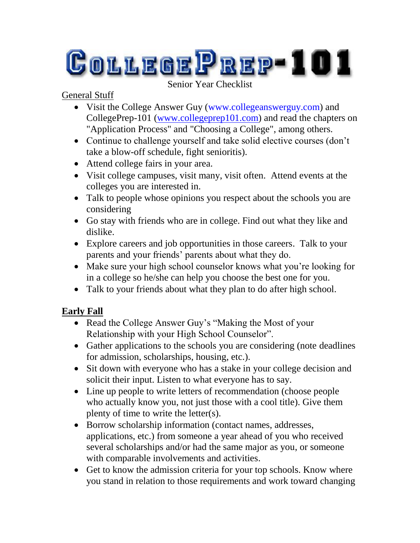# **COLLEGEPREP-101**

#### Senior Year Checklist

### General Stuff

- Visit the College Answer Guy (www.collegeanswerguy.com) and CollegePrep-101 [\(www.collegeprep101.com\)](http://www.collegeprep101.com/) and read the chapters on "Application Process" and "Choosing a College", among others.
- Continue to challenge yourself and take solid elective courses (don't take a blow-off schedule, fight senioritis).
- Attend college fairs in your area.
- Visit college campuses, visit many, visit often. Attend events at the colleges you are interested in.
- Talk to people whose opinions you respect about the schools you are considering
- Go stay with friends who are in college. Find out what they like and dislike.
- Explore careers and job opportunities in those careers. Talk to your parents and your friends' parents about what they do.
- Make sure your high school counselor knows what you're looking for in a college so he/she can help you choose the best one for you.
- Talk to your friends about what they plan to do after high school.

# **Early Fall**

- Read the College Answer Guy's "Making the Most of your Relationship with your High School Counselor".
- Gather applications to the schools you are considering (note deadlines for admission, scholarships, housing, etc.).
- Sit down with everyone who has a stake in your college decision and solicit their input. Listen to what everyone has to say.
- Line up people to write letters of recommendation (choose people who actually know you, not just those with a cool title). Give them plenty of time to write the letter(s).
- Borrow scholarship information (contact names, addresses, applications, etc.) from someone a year ahead of you who received several scholarships and/or had the same major as you, or someone with comparable involvements and activities.
- Get to know the admission criteria for your top schools. Know where you stand in relation to those requirements and work toward changing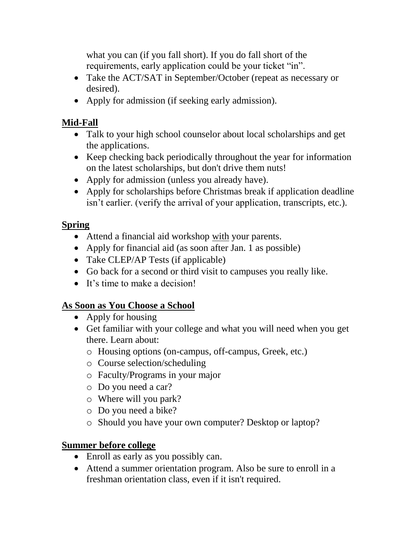what you can (if you fall short). If you do fall short of the requirements, early application could be your ticket "in".

- Take the ACT/SAT in September/October (repeat as necessary or desired).
- Apply for admission (if seeking early admission).

#### **Mid-Fall**

- Talk to your high school counselor about local scholarships and get the applications.
- Keep checking back periodically throughout the year for information on the latest scholarships, but don't drive them nuts!
- Apply for admission (unless you already have).
- Apply for scholarships before Christmas break if application deadline isn't earlier. (verify the arrival of your application, transcripts, etc.).

#### **Spring**

- Attend a financial aid workshop with your parents.
- Apply for financial aid (as soon after Jan. 1 as possible)
- Take CLEP/AP Tests (if applicable)
- Go back for a second or third visit to campuses you really like.
- It's time to make a decision!

## **As Soon as You Choose a School**

- Apply for housing
- Get familiar with your college and what you will need when you get there. Learn about:
	- o Housing options (on-campus, off-campus, Greek, etc.)
	- o Course selection/scheduling
	- o Faculty/Programs in your major
	- o Do you need a car?
	- o Where will you park?
	- o Do you need a bike?
	- o Should you have your own computer? Desktop or laptop?

#### **Summer before college**

- Enroll as early as you possibly can.
- Attend a summer orientation program. Also be sure to enroll in a freshman orientation class, even if it isn't required.